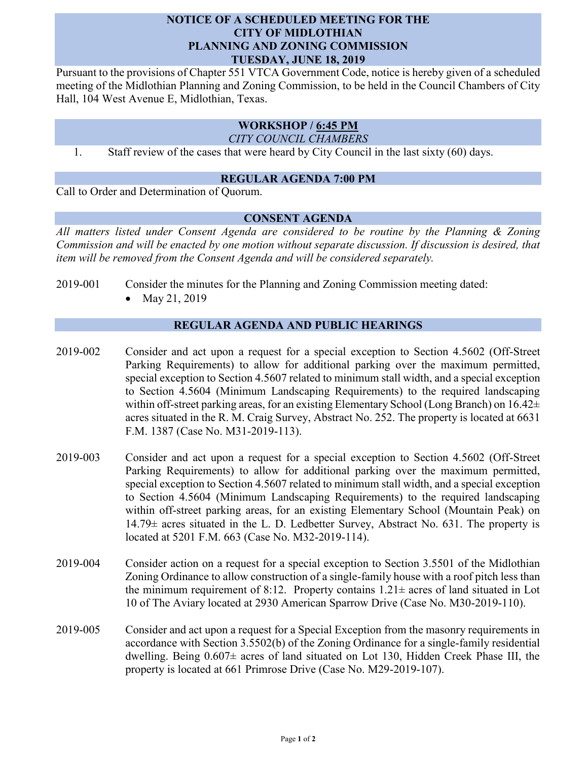## **NOTICE OF A SCHEDULED MEETING FOR THE CITY OF MIDLOTHIAN PLANNING AND ZONING COMMISSION TUESDAY, JUNE 18, 2019**

Pursuant to the provisions of Chapter 551 VTCA Government Code, notice is hereby given of a scheduled meeting of the Midlothian Planning and Zoning Commission, to be held in the Council Chambers of City Hall, 104 West Avenue E, Midlothian, Texas.

# **WORKSHOP / 6:45 PM**

*CITY COUNCIL CHAMBERS*

1. Staff review of the cases that were heard by City Council in the last sixty (60) days.

#### **REGULAR AGENDA 7:00 PM**

Call to Order and Determination of Quorum.

### **CONSENT AGENDA**

*All matters listed under Consent Agenda are considered to be routine by the Planning & Zoning Commission and will be enacted by one motion without separate discussion. If discussion is desired, that item will be removed from the Consent Agenda and will be considered separately.*

- 2019-001 Consider the minutes for the Planning and Zoning Commission meeting dated:
	- May 21, 2019

## **REGULAR AGENDA AND PUBLIC HEARINGS**

- 2019-002 Consider and act upon a request for a special exception to Section 4.5602 (Off-Street Parking Requirements) to allow for additional parking over the maximum permitted, special exception to Section 4.5607 related to minimum stall width, and a special exception to Section 4.5604 (Minimum Landscaping Requirements) to the required landscaping within off-street parking areas, for an existing Elementary School (Long Branch) on  $16.42\pm$ acres situated in the R. M. Craig Survey, Abstract No. 252. The property is located at 6631 F.M. 1387 (Case No. M31-2019-113).
- 2019-003 Consider and act upon a request for a special exception to Section 4.5602 (Off-Street Parking Requirements) to allow for additional parking over the maximum permitted, special exception to Section 4.5607 related to minimum stall width, and a special exception to Section 4.5604 (Minimum Landscaping Requirements) to the required landscaping within off-street parking areas, for an existing Elementary School (Mountain Peak) on 14.79± acres situated in the L. D. Ledbetter Survey, Abstract No. 631. The property is located at 5201 F.M. 663 (Case No. M32-2019-114).
- 2019-004 Consider action on a request for a special exception to Section 3.5501 of the Midlothian Zoning Ordinance to allow construction of a single-family house with a roof pitch less than the minimum requirement of 8:12. Property contains  $1.21 \pm$  acres of land situated in Lot 10 of The Aviary located at 2930 American Sparrow Drive (Case No. M30-2019-110).
- 2019-005 Consider and act upon a request for a Special Exception from the masonry requirements in accordance with Section 3.5502(b) of the Zoning Ordinance for a single-family residential dwelling. Being 0.607± acres of land situated on Lot 130, Hidden Creek Phase III, the property is located at 661 Primrose Drive (Case No. M29-2019-107).